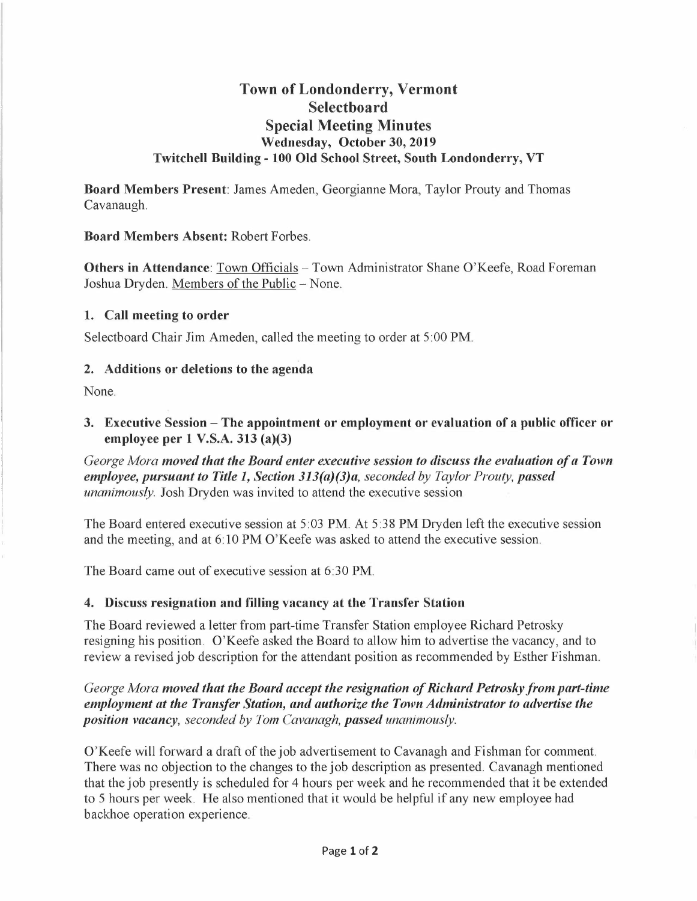# **Town of Londonderry, Vermont Selectboard Special Meeting Minutes Wednesday, October 30, 2019 Twitchell Building - 100 Old School Street, South Londonderry, VT**

**Board Members Present:** James Ameden, Georgianne Mora, Taylor Prouty and Thomas Cavanaugh.

#### **Board Members Absent:** Robert Forbes.

**Others in Attendance**: Town Officials – Town Administrator Shane O'Keefe, Road Foreman Joshua Dryden. Members of the Public - None.

#### **1. Call meeting to order**

Selectboard Chair Jim Ameden, called the meeting to order at 5:00 PM.

#### **2. Additions or deletions to the agenda**

None.

**3.** Executive Session – The appointment or employment or evaluation of a public officer or **employee per 1 V.S.A. 313 (a)(3)** 

*George Mora moved that the Board enter executive session to discuss the evaluation of a Town employee, pursuant to Title 1, Section 313(a)(3)a, seconded by Taylor Prouty, passed unanimously.* Josh Dryden was invited to attend the executive session

The Board entered executive session at 5:03 PM. At 5:38 PM Dryden left the executive session and the meeting, and at 6: 10 PM O'Keefe was asked to attend the executive session.

The Board came out of executive session at 6:30 PM.

#### **4. Discuss resignation and filling vacancy at the Transfer Station**

The Board reviewed a letter from part-time Transfer Station employee Richard Petrosky resigning his position. O'Keefe asked the Board to allow him to advertise the vacancy, and to review a revised job description for the attendant position as recommended by Esther Fishman.

*George Mora moved that the Board accept the resignation of Richard Petrosky from part-time employment at the Transfer Station, and authorize the Town Administrator to advertise the position vacancy, seconded by Tom Cavanagh, passed unanimously.* 

O'Keefe will forward a draft of the job advertisement to Cavanagh and Fishman for comment. There was no objection to the changes to the job description as presented. Cavanagh mentioned that the job presently is scheduled for 4 hours per week and he recommended that it be extended to 5 hours per week. He also mentioned that it would be helpful if any new employee had backhoe operation experience.